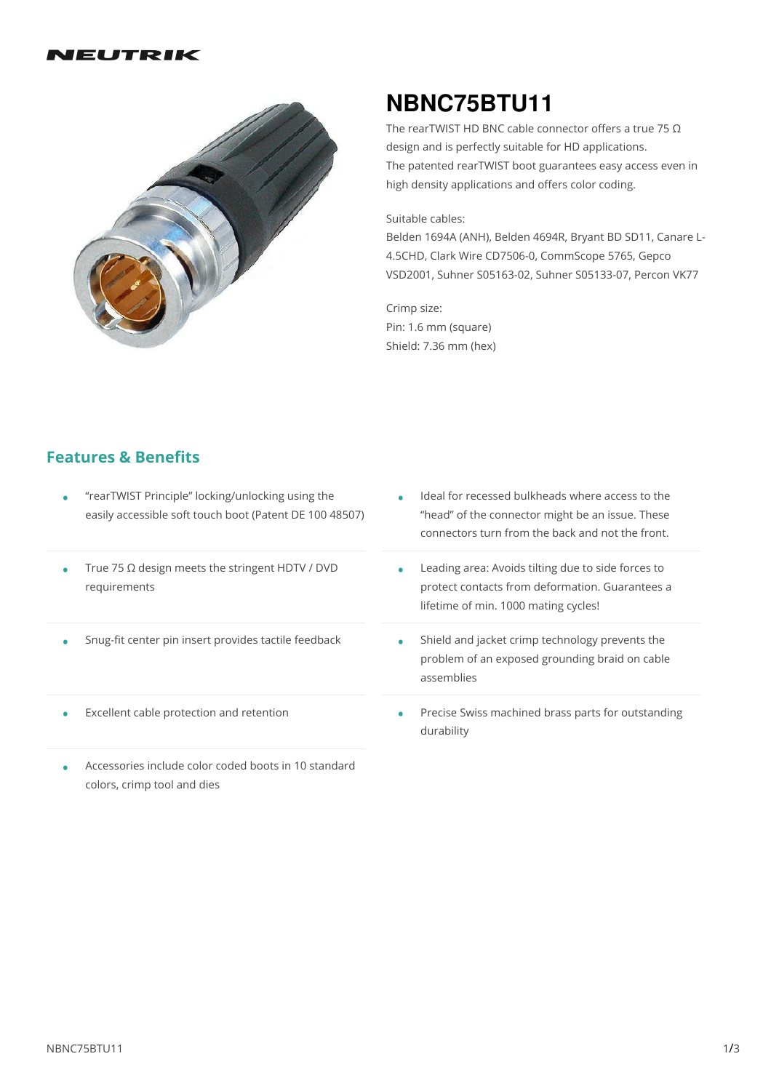#### IEUTRIK



# **NBNC75BTU11**

The rearTWIST HD BNC cable connector offers a true 75  $\Omega$ design and is perfectly suitable for HD applications. The patented rearTWIST boot guarantees easy access even in high density applications and offers color coding.

#### Suitable cables:

Belden 1694A (ANH), Belden 4694R, Bryant BD SD11, Canare L- 4.5CHD, Clark Wire CD7506-0, CommScope 5765, Gepco VSD2001, Suhner S05163-02, Suhner S05133-07, Percon VK77

Crimp size: Pin: 1.6 mm (square) Shield: 7.36 mm (hex)

## **Features & Benefits**

- "rearTWIST Principle" locking/unlocking using the easily accessible soft touch boot (Patent DE 100 48507)
	- True 75 Ω design meets the stringent HDTV / DVD requirements •
	- Snug-fit center pin insert provides tactile feedback •
	- **Excellent cable protection and retention**
	- Accessories include color coded boots in 10 standard colors, crimp tool and dies •
- Ideal for recessed bulkheads where access to the "head" of the connector might be an issue. These connectors turn from the back and not the front.
- Leading area: Avoids tilting due to side forces to protect contacts from deformation. Guarantees a lifetime of min. 1000 mating cycles!
- Shield and jacket crimp technology prevents the problem of an exposed grounding braid on cable assemblies

Precise Swiss machined brass parts for outstanding durability •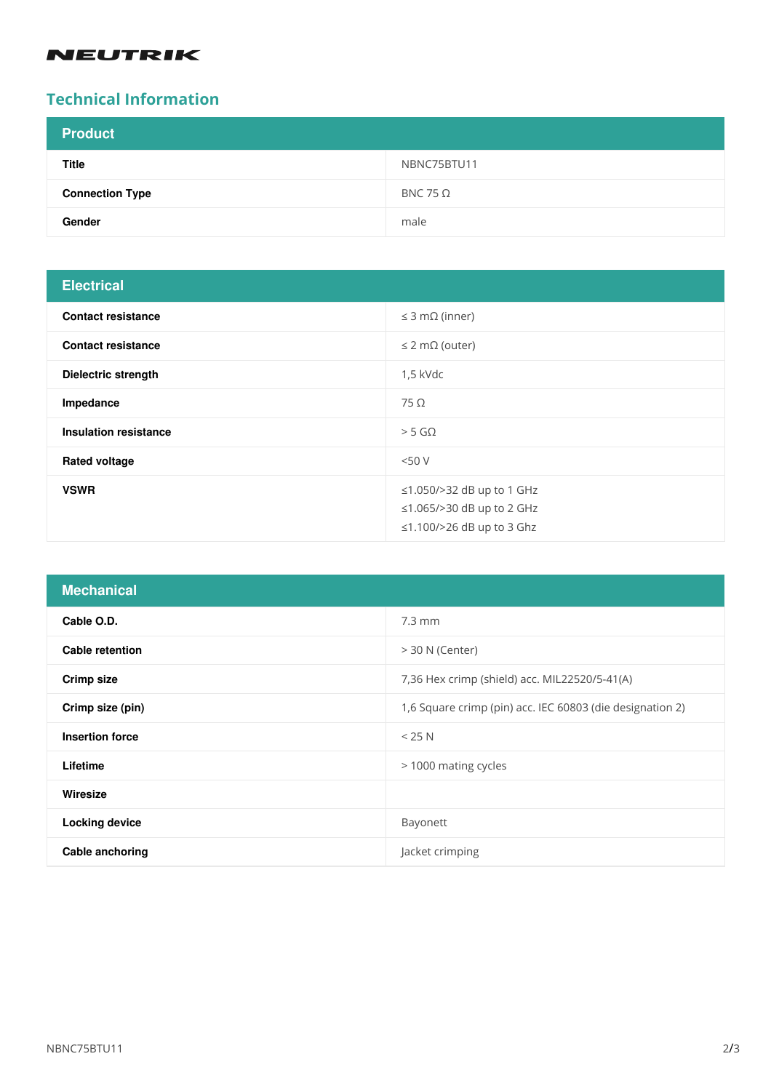# **NEUTRIK**

# **Technical Information**

| <b>Product</b>         |                 |
|------------------------|-----------------|
| <b>Title</b>           | NBNC75BTU11     |
| <b>Connection Type</b> | BNC 75 $\Omega$ |
| Gender                 | male            |

# **Electrical**

| ---------                    |                                                                                     |
|------------------------------|-------------------------------------------------------------------------------------|
| <b>Contact resistance</b>    | $\leq$ 3 m $\Omega$ (inner)                                                         |
| <b>Contact resistance</b>    | $\leq$ 2 m $\Omega$ (outer)                                                         |
| <b>Dielectric strength</b>   | 1,5 kVdc                                                                            |
| Impedance                    | $75\Omega$                                                                          |
| <b>Insulation resistance</b> | $>$ 5 G $\Omega$                                                                    |
| <b>Rated voltage</b>         | <50V                                                                                |
| <b>VSWR</b>                  | ≤1.050/>32 dB up to 1 GHz<br>≤1.065/>30 dB up to 2 GHz<br>≤1.100/>26 dB up to 3 Ghz |

| <b>Mechanical</b>      |                                                           |
|------------------------|-----------------------------------------------------------|
| Cable O.D.             | $7.3 \text{ mm}$                                          |
| <b>Cable retention</b> | $>$ 30 N (Center)                                         |
| Crimp size             | 7,36 Hex crimp (shield) acc. MIL22520/5-41(A)             |
| Crimp size (pin)       | 1,6 Square crimp (pin) acc. IEC 60803 (die designation 2) |
| <b>Insertion force</b> | < 25 N                                                    |
| Lifetime               | > 1000 mating cycles                                      |
| Wiresize               |                                                           |
| <b>Locking device</b>  | Bayonett                                                  |
| Cable anchoring        | Jacket crimping                                           |